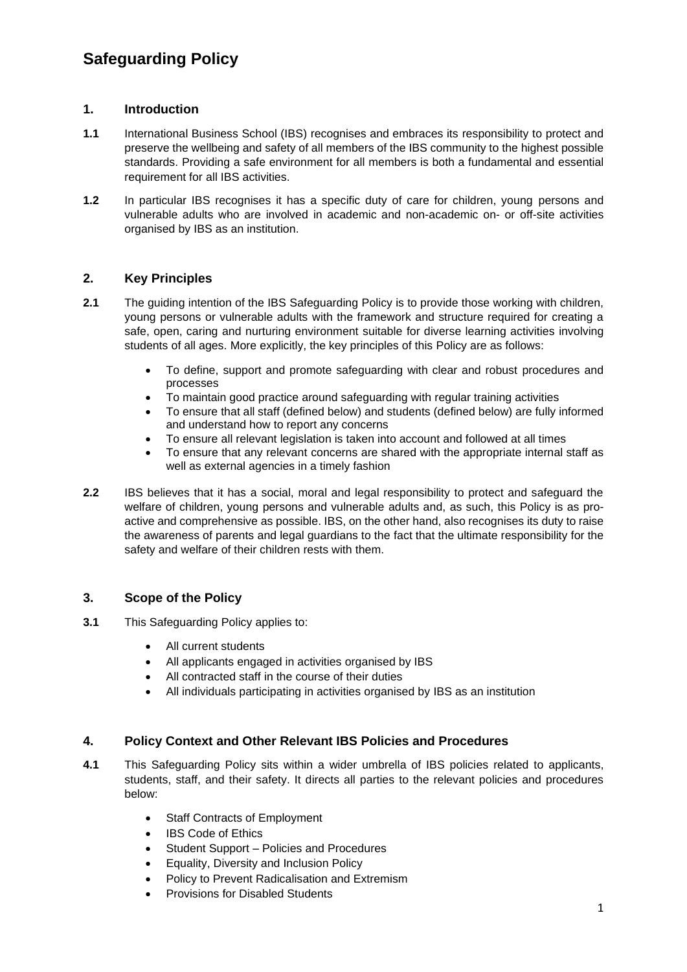# **Safeguarding Policy**

# **1. Introduction**

- **1.1** International Business School (IBS) recognises and embraces its responsibility to protect and preserve the wellbeing and safety of all members of the IBS community to the highest possible standards. Providing a safe environment for all members is both a fundamental and essential requirement for all IBS activities.
- **1.2** In particular IBS recognises it has a specific duty of care for children, young persons and vulnerable adults who are involved in academic and non-academic on- or off-site activities organised by IBS as an institution.

# **2. Key Principles**

- **2.1** The guiding intention of the IBS Safeguarding Policy is to provide those working with children, young persons or vulnerable adults with the framework and structure required for creating a safe, open, caring and nurturing environment suitable for diverse learning activities involving students of all ages. More explicitly, the key principles of this Policy are as follows:
	- To define, support and promote safeguarding with clear and robust procedures and processes
	- To maintain good practice around safeguarding with regular training activities
	- To ensure that all staff (defined below) and students (defined below) are fully informed and understand how to report any concerns
	- To ensure all relevant legislation is taken into account and followed at all times
	- To ensure that any relevant concerns are shared with the appropriate internal staff as well as external agencies in a timely fashion
- **2.2** IBS believes that it has a social, moral and legal responsibility to protect and safeguard the welfare of children, young persons and vulnerable adults and, as such, this Policy is as proactive and comprehensive as possible. IBS, on the other hand, also recognises its duty to raise the awareness of parents and legal guardians to the fact that the ultimate responsibility for the safety and welfare of their children rests with them.

# **3. Scope of the Policy**

- **3.1** This Safeguarding Policy applies to:
	- All current students
	- All applicants engaged in activities organised by IBS
	- All contracted staff in the course of their duties
	- All individuals participating in activities organised by IBS as an institution

# **4. Policy Context and Other Relevant IBS Policies and Procedures**

- **4.1** This Safeguarding Policy sits within a wider umbrella of IBS policies related to applicants, students, staff, and their safety. It directs all parties to the relevant policies and procedures below:
	- Staff Contracts of Employment
	- IBS Code of Ethics
	- Student Support Policies and Procedures
	- Equality, Diversity and Inclusion Policy
	- Policy to Prevent Radicalisation and Extremism
	- Provisions for Disabled Students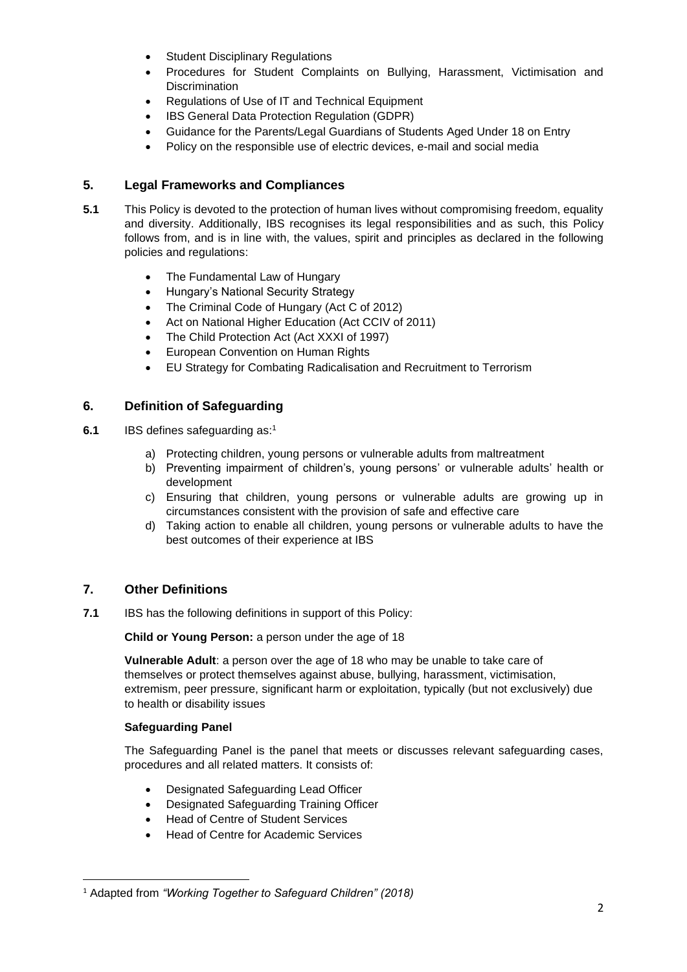- **Student Disciplinary Regulations**
- Procedures for Student Complaints on Bullying, Harassment, Victimisation and **Discrimination**
- Regulations of Use of IT and Technical Equipment
- IBS General Data Protection Regulation (GDPR)
- Guidance for the Parents/Legal Guardians of Students Aged Under 18 on Entry
- Policy on the responsible use of electric devices, e-mail and social media

# **5. Legal Frameworks and Compliances**

- **5.1** This Policy is devoted to the protection of human lives without compromising freedom, equality and diversity. Additionally, IBS recognises its legal responsibilities and as such, this Policy follows from, and is in line with, the values, spirit and principles as declared in the following policies and regulations:
	- The Fundamental Law of Hungary
	- Hungary's National Security Strategy
	- The Criminal Code of Hungary (Act C of 2012)
	- Act on National Higher Education (Act CCIV of 2011)
	- The Child Protection Act (Act XXXI of 1997)
	- European Convention on Human Rights
	- EU Strategy for Combating Radicalisation and Recruitment to Terrorism

### **6. Definition of Safeguarding**

- **6.1** IBS defines safeguarding as:<sup>1</sup>
	- a) Protecting children, young persons or vulnerable adults from maltreatment
	- b) Preventing impairment of children's, young persons' or vulnerable adults' health or development
	- c) Ensuring that children, young persons or vulnerable adults are growing up in circumstances consistent with the provision of safe and effective care
	- d) Taking action to enable all children, young persons or vulnerable adults to have the best outcomes of their experience at IBS

# **7. Other Definitions**

**7.1** IBS has the following definitions in support of this Policy:

**Child or Young Person:** a person under the age of 18

**Vulnerable Adult**: a person over the age of 18 who may be unable to take care of themselves or protect themselves against abuse, bullying, harassment, victimisation, extremism, peer pressure, significant harm or exploitation, typically (but not exclusively) due to health or disability issues

### **Safeguarding Panel**

The Safeguarding Panel is the panel that meets or discusses relevant safeguarding cases, procedures and all related matters. It consists of:

- Designated Safeguarding Lead Officer
- Designated Safeguarding Training Officer
- Head of Centre of Student Services
- Head of Centre for Academic Services

<sup>1</sup> Adapted from *"Working Together to Safeguard Children" (2018)*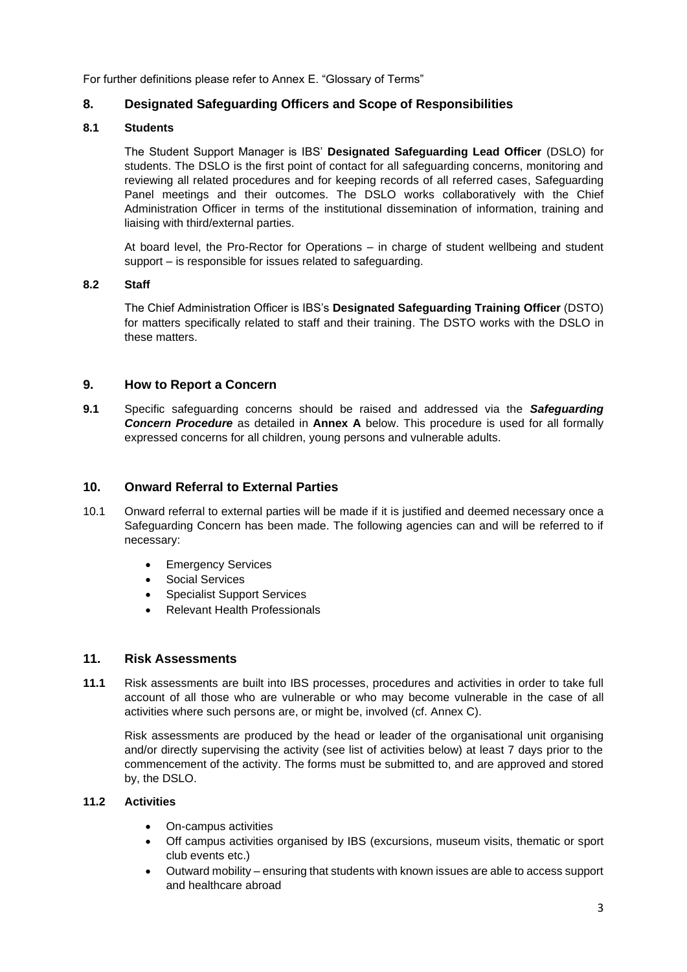For further definitions please refer to Annex E. "Glossary of Terms"

# **8. Designated Safeguarding Officers and Scope of Responsibilities**

### **8.1 Students**

The Student Support Manager is IBS' **Designated Safeguarding Lead Officer** (DSLO) for students. The DSLO is the first point of contact for all safeguarding concerns, monitoring and reviewing all related procedures and for keeping records of all referred cases, Safeguarding Panel meetings and their outcomes. The DSLO works collaboratively with the Chief Administration Officer in terms of the institutional dissemination of information, training and liaising with third/external parties.

At board level, the Pro-Rector for Operations – in charge of student wellbeing and student support – is responsible for issues related to safeguarding.

### **8.2 Staff**

The Chief Administration Officer is IBS's **Designated Safeguarding Training Officer** (DSTO) for matters specifically related to staff and their training. The DSTO works with the DSLO in these matters.

# **9. How to Report a Concern**

**9.1** Specific safeguarding concerns should be raised and addressed via the *Safeguarding Concern Procedure* as detailed in **Annex A** below. This procedure is used for all formally expressed concerns for all children, young persons and vulnerable adults.

### **10. Onward Referral to External Parties**

- 10.1 Onward referral to external parties will be made if it is justified and deemed necessary once a Safeguarding Concern has been made. The following agencies can and will be referred to if necessary:
	- Emergency Services
	- Social Services
	- Specialist Support Services
	- Relevant Health Professionals

### **11. Risk Assessments**

**11.1** Risk assessments are built into IBS processes, procedures and activities in order to take full account of all those who are vulnerable or who may become vulnerable in the case of all activities where such persons are, or might be, involved (cf. Annex C).

Risk assessments are produced by the head or leader of the organisational unit organising and/or directly supervising the activity (see list of activities below) at least 7 days prior to the commencement of the activity. The forms must be submitted to, and are approved and stored by, the DSLO.

### **11.2 Activities**

- On-campus activities
- Off campus activities organised by IBS (excursions, museum visits, thematic or sport club events etc.)
- Outward mobility ensuring that students with known issues are able to access support and healthcare abroad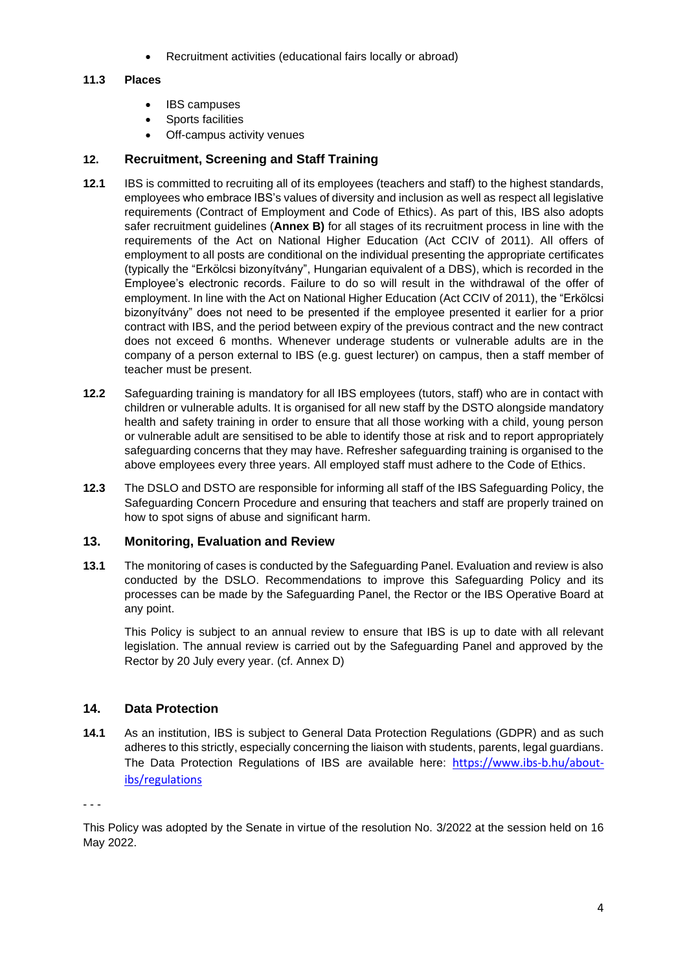• Recruitment activities (educational fairs locally or abroad)

# **11.3 Places**

- IBS campuses
- Sports facilities
- Off-campus activity venues

# **12. Recruitment, Screening and Staff Training**

- **12.1** IBS is committed to recruiting all of its employees (teachers and staff) to the highest standards, employees who embrace IBS's values of diversity and inclusion as well as respect all legislative requirements (Contract of Employment and Code of Ethics). As part of this, IBS also adopts safer recruitment guidelines (**Annex B)** for all stages of its recruitment process in line with the requirements of the Act on National Higher Education (Act CCIV of 2011). All offers of employment to all posts are conditional on the individual presenting the appropriate certificates (typically the "Erkölcsi bizonyítvány", Hungarian equivalent of a DBS), which is recorded in the Employee's electronic records. Failure to do so will result in the withdrawal of the offer of employment. In line with the Act on National Higher Education (Act CCIV of 2011), the "Erkölcsi bizonyítvány" does not need to be presented if the employee presented it earlier for a prior contract with IBS, and the period between expiry of the previous contract and the new contract does not exceed 6 months. Whenever underage students or vulnerable adults are in the company of a person external to IBS (e.g. guest lecturer) on campus, then a staff member of teacher must be present.
- **12.2** Safeguarding training is mandatory for all IBS employees (tutors, staff) who are in contact with children or vulnerable adults. It is organised for all new staff by the DSTO alongside mandatory health and safety training in order to ensure that all those working with a child, young person or vulnerable adult are sensitised to be able to identify those at risk and to report appropriately safeguarding concerns that they may have. Refresher safeguarding training is organised to the above employees every three years. All employed staff must adhere to the Code of Ethics.
- **12.3** The DSLO and DSTO are responsible for informing all staff of the IBS Safeguarding Policy, the Safeguarding Concern Procedure and ensuring that teachers and staff are properly trained on how to spot signs of abuse and significant harm.

# **13. Monitoring, Evaluation and Review**

**13.1** The monitoring of cases is conducted by the Safeguarding Panel. Evaluation and review is also conducted by the DSLO. Recommendations to improve this Safeguarding Policy and its processes can be made by the Safeguarding Panel, the Rector or the IBS Operative Board at any point.

This Policy is subject to an annual review to ensure that IBS is up to date with all relevant legislation. The annual review is carried out by the Safeguarding Panel and approved by the Rector by 20 July every year. (cf. Annex D)

# **14. Data Protection**

**14.1** As an institution, IBS is subject to General Data Protection Regulations (GDPR) and as such adheres to this strictly, especially concerning the liaison with students, parents, legal guardians. The Data Protection Regulations of IBS are available here: [https://www.ibs-b.hu/about](https://www.ibs-b.hu/about-ibs/regulations)[ibs/regulations](https://www.ibs-b.hu/about-ibs/regulations)

- - -

This Policy was adopted by the Senate in virtue of the resolution No. 3/2022 at the session held on 16 May 2022.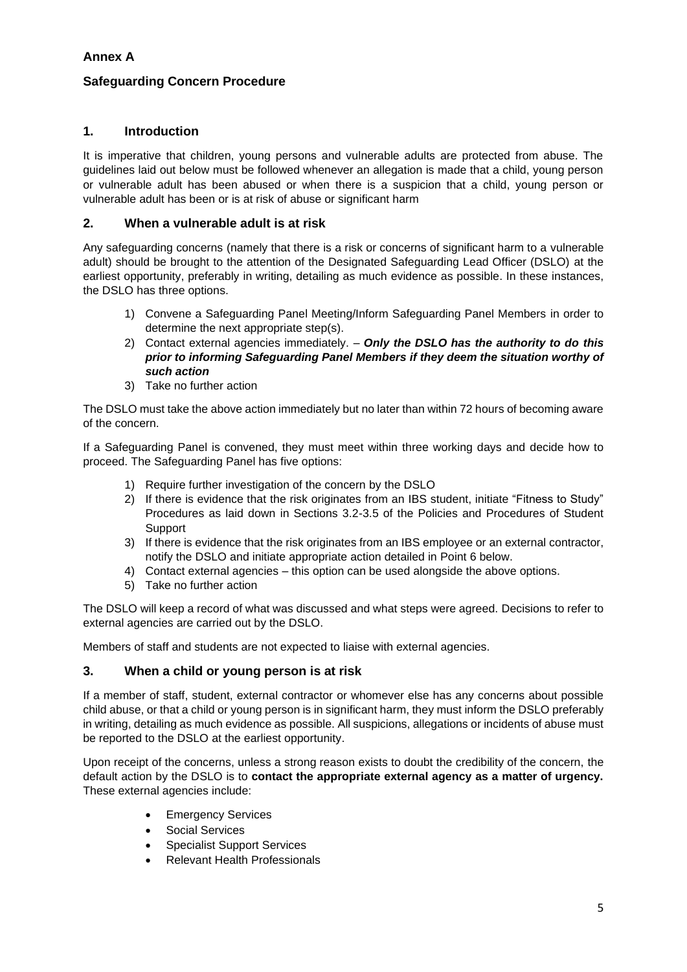# **Annex A**

# **Safeguarding Concern Procedure**

# **1. Introduction**

It is imperative that children, young persons and vulnerable adults are protected from abuse. The guidelines laid out below must be followed whenever an allegation is made that a child, young person or vulnerable adult has been abused or when there is a suspicion that a child, young person or vulnerable adult has been or is at risk of abuse or significant harm

### **2. When a vulnerable adult is at risk**

Any safeguarding concerns (namely that there is a risk or concerns of significant harm to a vulnerable adult) should be brought to the attention of the Designated Safeguarding Lead Officer (DSLO) at the earliest opportunity, preferably in writing, detailing as much evidence as possible. In these instances, the DSLO has three options.

- 1) Convene a Safeguarding Panel Meeting/Inform Safeguarding Panel Members in order to determine the next appropriate step(s).
- 2) Contact external agencies immediately. *Only the DSLO has the authority to do this prior to informing Safeguarding Panel Members if they deem the situation worthy of such action*
- 3) Take no further action

The DSLO must take the above action immediately but no later than within 72 hours of becoming aware of the concern.

If a Safeguarding Panel is convened, they must meet within three working days and decide how to proceed. The Safeguarding Panel has five options:

- 1) Require further investigation of the concern by the DSLO
- 2) If there is evidence that the risk originates from an IBS student, initiate "Fitness to Study" Procedures as laid down in Sections 3.2-3.5 of the Policies and Procedures of Student **Support**
- 3) If there is evidence that the risk originates from an IBS employee or an external contractor, notify the DSLO and initiate appropriate action detailed in Point 6 below.
- 4) Contact external agencies this option can be used alongside the above options.
- 5) Take no further action

The DSLO will keep a record of what was discussed and what steps were agreed. Decisions to refer to external agencies are carried out by the DSLO.

Members of staff and students are not expected to liaise with external agencies.

# **3. When a child or young person is at risk**

If a member of staff, student, external contractor or whomever else has any concerns about possible child abuse, or that a child or young person is in significant harm, they must inform the DSLO preferably in writing, detailing as much evidence as possible. All suspicions, allegations or incidents of abuse must be reported to the DSLO at the earliest opportunity.

Upon receipt of the concerns, unless a strong reason exists to doubt the credibility of the concern, the default action by the DSLO is to **contact the appropriate external agency as a matter of urgency.** These external agencies include:

- **Emergency Services**
- Social Services
- Specialist Support Services
- Relevant Health Professionals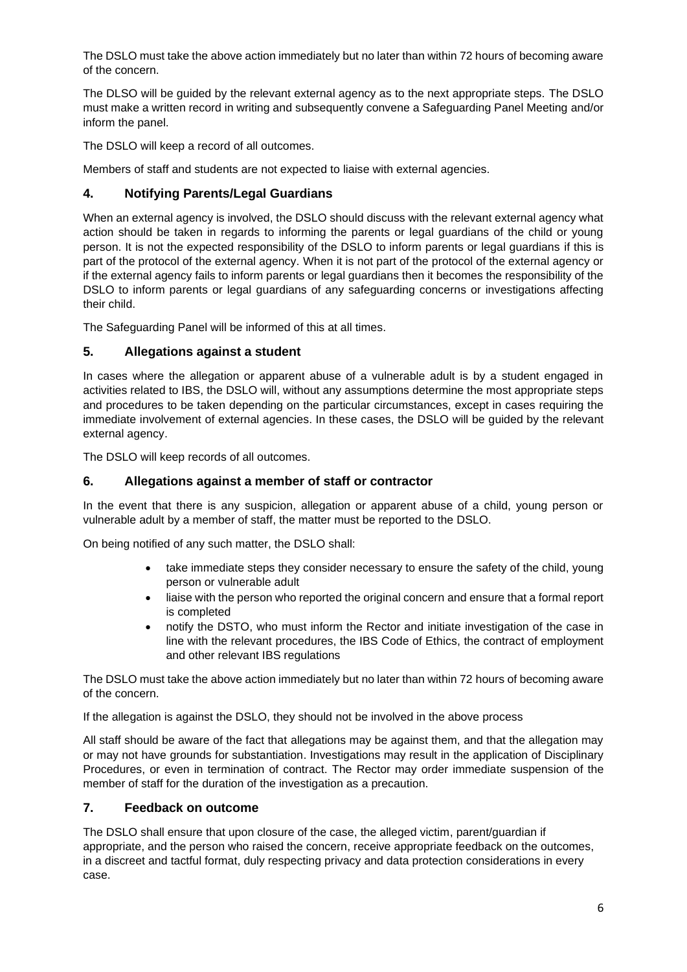The DSLO must take the above action immediately but no later than within 72 hours of becoming aware of the concern.

The DLSO will be guided by the relevant external agency as to the next appropriate steps. The DSLO must make a written record in writing and subsequently convene a Safeguarding Panel Meeting and/or inform the panel.

The DSLO will keep a record of all outcomes.

Members of staff and students are not expected to liaise with external agencies.

# **4. Notifying Parents/Legal Guardians**

When an external agency is involved, the DSLO should discuss with the relevant external agency what action should be taken in regards to informing the parents or legal guardians of the child or young person. It is not the expected responsibility of the DSLO to inform parents or legal guardians if this is part of the protocol of the external agency. When it is not part of the protocol of the external agency or if the external agency fails to inform parents or legal guardians then it becomes the responsibility of the DSLO to inform parents or legal guardians of any safeguarding concerns or investigations affecting their child.

The Safeguarding Panel will be informed of this at all times.

# **5. Allegations against a student**

In cases where the allegation or apparent abuse of a vulnerable adult is by a student engaged in activities related to IBS, the DSLO will, without any assumptions determine the most appropriate steps and procedures to be taken depending on the particular circumstances, except in cases requiring the immediate involvement of external agencies. In these cases, the DSLO will be guided by the relevant external agency.

The DSLO will keep records of all outcomes.

# **6. Allegations against a member of staff or contractor**

In the event that there is any suspicion, allegation or apparent abuse of a child, young person or vulnerable adult by a member of staff, the matter must be reported to the DSLO.

On being notified of any such matter, the DSLO shall:

- take immediate steps they consider necessary to ensure the safety of the child, young person or vulnerable adult
- liaise with the person who reported the original concern and ensure that a formal report is completed
- notify the DSTO, who must inform the Rector and initiate investigation of the case in line with the relevant procedures, the IBS Code of Ethics, the contract of employment and other relevant IBS regulations

The DSLO must take the above action immediately but no later than within 72 hours of becoming aware of the concern.

If the allegation is against the DSLO, they should not be involved in the above process

All staff should be aware of the fact that allegations may be against them, and that the allegation may or may not have grounds for substantiation. Investigations may result in the application of Disciplinary Procedures, or even in termination of contract. The Rector may order immediate suspension of the member of staff for the duration of the investigation as a precaution.

# **7. Feedback on outcome**

The DSLO shall ensure that upon closure of the case, the alleged victim, parent/guardian if appropriate, and the person who raised the concern, receive appropriate feedback on the outcomes, in a discreet and tactful format, duly respecting privacy and data protection considerations in every case.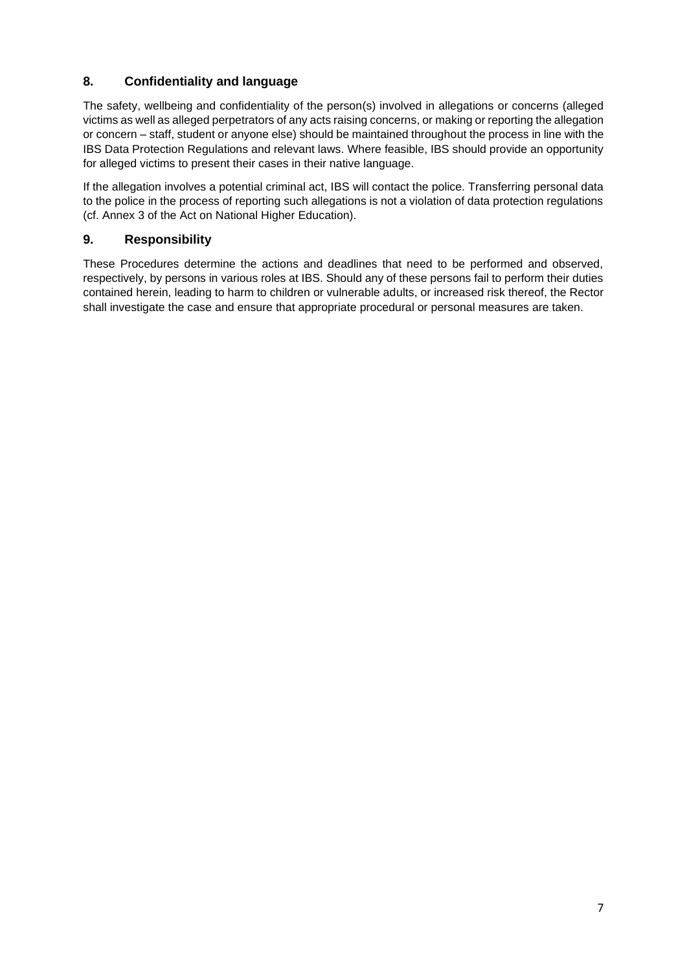# **8. Confidentiality and language**

The safety, wellbeing and confidentiality of the person(s) involved in allegations or concerns (alleged victims as well as alleged perpetrators of any acts raising concerns, or making or reporting the allegation or concern – staff, student or anyone else) should be maintained throughout the process in line with the IBS Data Protection Regulations and relevant laws. Where feasible, IBS should provide an opportunity for alleged victims to present their cases in their native language.

If the allegation involves a potential criminal act, IBS will contact the police. Transferring personal data to the police in the process of reporting such allegations is not a violation of data protection regulations (cf. Annex 3 of the Act on National Higher Education).

# **9. Responsibility**

These Procedures determine the actions and deadlines that need to be performed and observed, respectively, by persons in various roles at IBS. Should any of these persons fail to perform their duties contained herein, leading to harm to children or vulnerable adults, or increased risk thereof, the Rector shall investigate the case and ensure that appropriate procedural or personal measures are taken.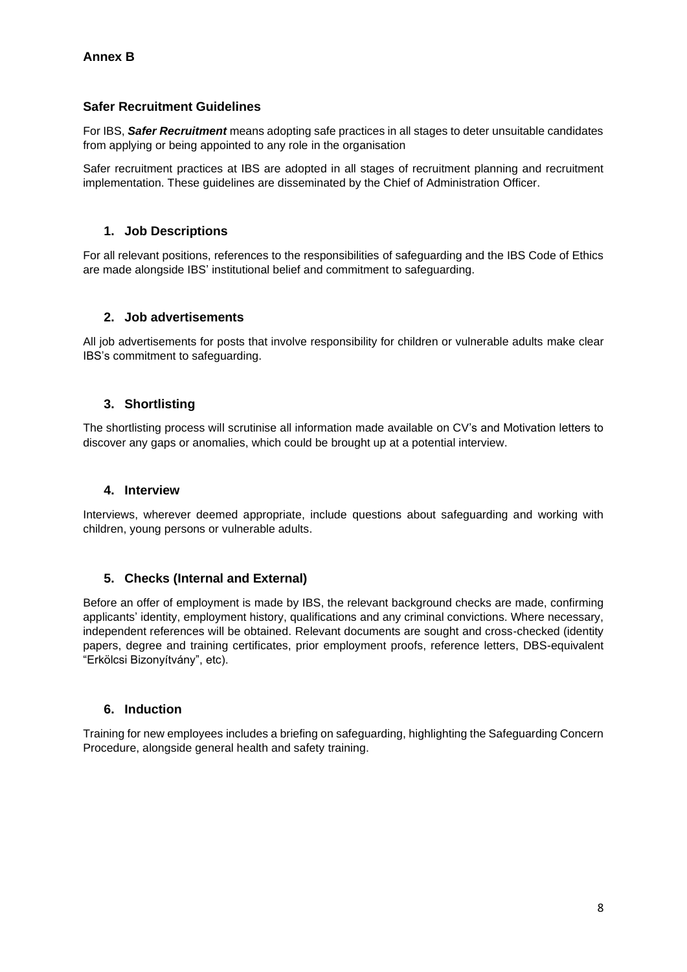# **Safer Recruitment Guidelines**

For IBS, *Safer Recruitment* means adopting safe practices in all stages to deter unsuitable candidates from applying or being appointed to any role in the organisation

Safer recruitment practices at IBS are adopted in all stages of recruitment planning and recruitment implementation. These guidelines are disseminated by the Chief of Administration Officer.

### **1. Job Descriptions**

For all relevant positions, references to the responsibilities of safeguarding and the IBS Code of Ethics are made alongside IBS' institutional belief and commitment to safeguarding.

### **2. Job advertisements**

All job advertisements for posts that involve responsibility for children or vulnerable adults make clear IBS's commitment to safeguarding.

# **3. Shortlisting**

The shortlisting process will scrutinise all information made available on CV's and Motivation letters to discover any gaps or anomalies, which could be brought up at a potential interview.

### **4. Interview**

Interviews, wherever deemed appropriate, include questions about safeguarding and working with children, young persons or vulnerable adults.

### **5. Checks (Internal and External)**

Before an offer of employment is made by IBS, the relevant background checks are made, confirming applicants' identity, employment history, qualifications and any criminal convictions. Where necessary, independent references will be obtained. Relevant documents are sought and cross-checked (identity papers, degree and training certificates, prior employment proofs, reference letters, DBS-equivalent "Erkölcsi Bizonyítvány", etc).

### **6. Induction**

Training for new employees includes a briefing on safeguarding, highlighting the Safeguarding Concern Procedure, alongside general health and safety training.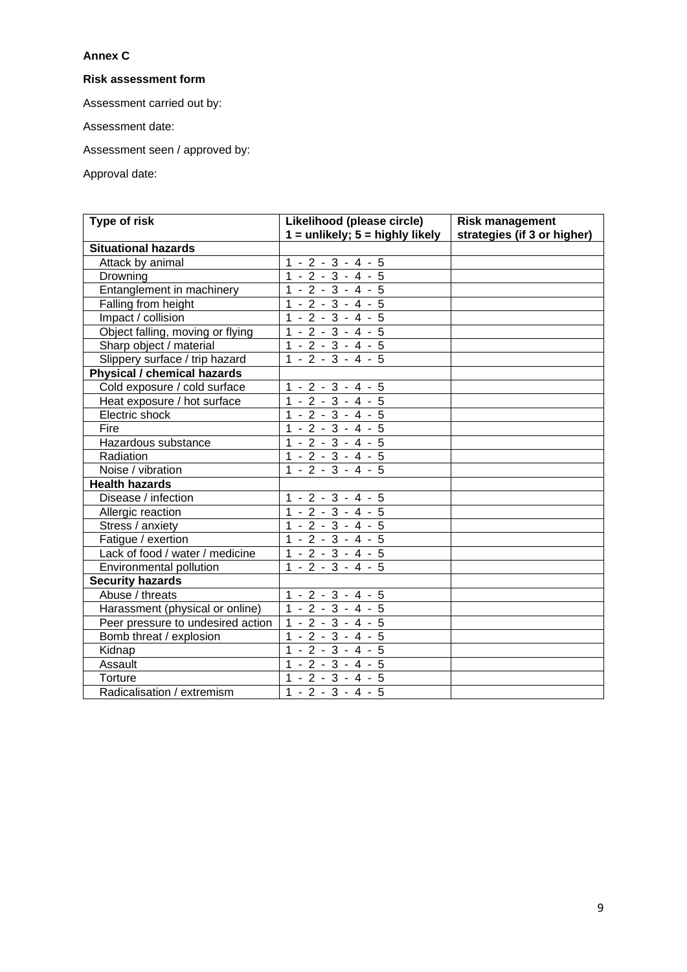# **Annex C**

### **Risk assessment form**

Assessment carried out by:

Assessment date:

Assessment seen / approved by:

Approval date:

| Type of risk                      | Likelihood (please circle)                    | <b>Risk management</b>      |
|-----------------------------------|-----------------------------------------------|-----------------------------|
| <b>Situational hazards</b>        | $1 =$ unlikely; $5 =$ highly likely           | strategies (if 3 or higher) |
|                                   |                                               |                             |
| Attack by animal                  | $1 - 2 - 3 - 4 - 5$<br>$1 - 2 - 3 - 4 - 5$    |                             |
| Drowning                          |                                               |                             |
| Entanglement in machinery         | $1 - 2 - 3 - 4 - 5$                           |                             |
| Falling from height               | $1 - 2 - 3 - 4 - 5$                           |                             |
| Impact / collision                | $1 - 2 - 3 - 4 - 5$                           |                             |
| Object falling, moving or flying  | $-2 - 3 - 4 - 5$<br>$\mathbf{1}$              |                             |
| Sharp object / material           | $-2 - 3 - 4 - 5$<br>$\mathbf{1}$              |                             |
| Slippery surface / trip hazard    | $1 - 2 - 3 - 4 - 5$                           |                             |
| Physical / chemical hazards       |                                               |                             |
| Cold exposure / cold surface      | $1 - 2 - 3 - 4 - 5$                           |                             |
| Heat exposure / hot surface       | $1 - 2 - 3 - 4 - 5$                           |                             |
| Electric shock                    | $1 - 2 - 3 - 4 - 5$                           |                             |
| Fire                              | $1 - 2 - 3 - 4 - 5$                           |                             |
| Hazardous substance               | $1 - 2 - 3 - 4 - 5$                           |                             |
| Radiation                         | $1 - 2 - 3 - 4 - 5$                           |                             |
| Noise / vibration                 | $1 - 2 - 3 - 4 - 5$                           |                             |
| <b>Health hazards</b>             |                                               |                             |
| Disease / infection               | $\frac{1 - 2 - 3 - 4 - 5}{1 - 2 - 3 - 4 - 5}$ |                             |
| Allergic reaction                 |                                               |                             |
| Stress / anxiety                  | $1 - 2 - 3 - 4 - 5$                           |                             |
| Fatigue / exertion                | $-2 - 3 - 4 - 5$<br>$\mathbf{1}$              |                             |
| Lack of food / water / medicine   | $1 - 2 - 3 - 4 - 5$                           |                             |
| Environmental pollution           | $1 - 2 - 3 - 4 - 5$                           |                             |
| <b>Security hazards</b>           |                                               |                             |
| Abuse / threats                   | $1 - 2 - 3 - 4 - 5$                           |                             |
| Harassment (physical or online)   | $1 - 2 - 3 - 4 - 5$                           |                             |
| Peer pressure to undesired action | $1 - 2 - 3 - 4 - 5$                           |                             |
| Bomb threat / explosion           | $1 - 2 - 3 - 4 - 5$                           |                             |
| Kidnap                            | $1 - 2 - 3 - 4 - 5$                           |                             |
| Assault                           | $1 - 2 - 3 - 4 - 5$                           |                             |
| Torture                           | $1 - 2 - 3 - 4 - 5$                           |                             |
| Radicalisation / extremism        | $1 - 2 - 3 - 4 - 5$                           |                             |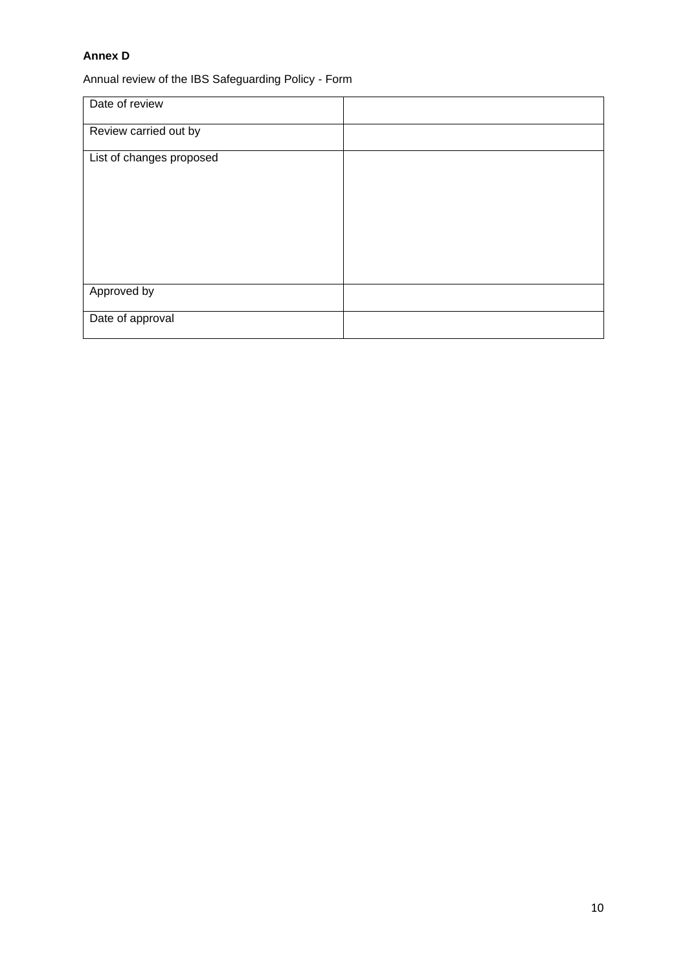### **Annex D**

Annual review of the IBS Safeguarding Policy - Form

| Date of review           |  |
|--------------------------|--|
| Review carried out by    |  |
| List of changes proposed |  |
| Approved by              |  |
| Date of approval         |  |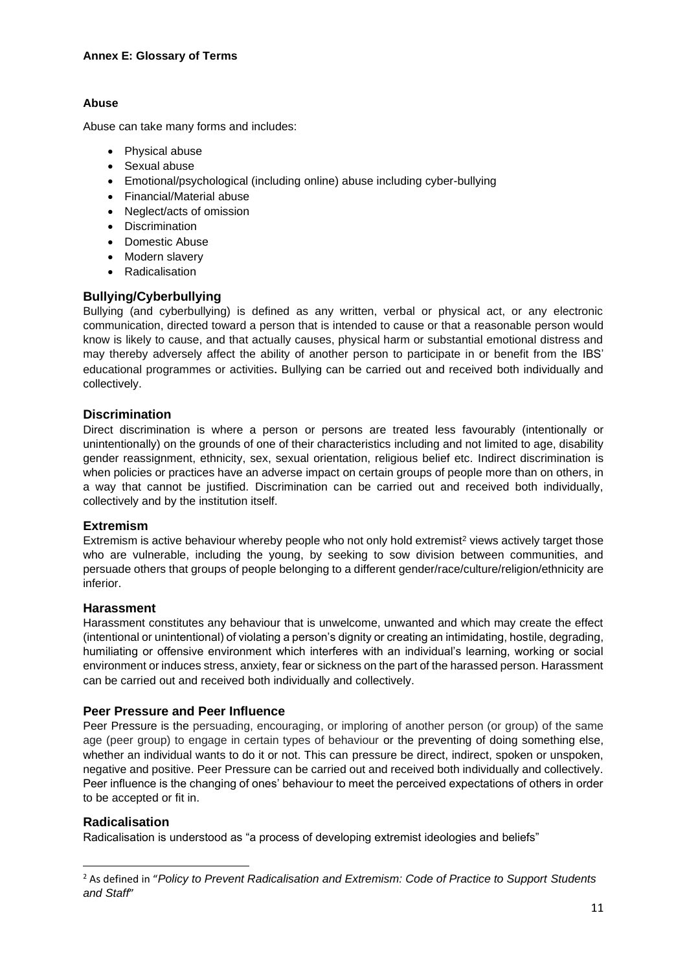### **Abuse**

Abuse can take many forms and includes:

- Physical abuse
- Sexual abuse
- Emotional/psychological (including online) abuse including cyber-bullying
- Financial/Material abuse
- Neglect/acts of omission
- Discrimination
- Domestic Abuse
- Modern slavery
- Radicalisation

# **Bullying/Cyberbullying**

Bullying (and cyberbullying) is defined as any written, verbal or physical act, or any electronic communication, directed toward a person that is intended to cause or that a reasonable person would know is likely to cause, and that actually causes, physical harm or substantial emotional distress and may thereby adversely affect the ability of another person to participate in or benefit from the IBS' educational programmes or activities. Bullying can be carried out and received both individually and collectively.

# **Discrimination**

Direct discrimination is where a person or persons are treated less favourably (intentionally or unintentionally) on the grounds of one of their characteristics including and not limited to age, disability gender reassignment, ethnicity, sex, sexual orientation, religious belief etc. Indirect discrimination is when policies or practices have an adverse impact on certain groups of people more than on others, in a way that cannot be justified. Discrimination can be carried out and received both individually, collectively and by the institution itself.

### **Extremism**

Extremism is active behaviour whereby people who not only hold extremist<sup>2</sup> views actively target those who are vulnerable, including the young, by seeking to sow division between communities, and persuade others that groups of people belonging to a different gender/race/culture/religion/ethnicity are inferior.

### **Harassment**

Harassment constitutes any behaviour that is unwelcome, unwanted and which may create the effect (intentional or unintentional) of violating a person's dignity or creating an intimidating, hostile, degrading, humiliating or offensive environment which interferes with an individual's learning, working or social environment or induces stress, anxiety, fear or sickness on the part of the harassed person. Harassment can be carried out and received both individually and collectively.

### **Peer Pressure and Peer Influence**

Peer Pressure is the persuading, encouraging, or imploring of another person (or group) of the same age (peer group) to engage in certain types of behaviour or the preventing of doing something else, whether an individual wants to do it or not. This can pressure be direct, indirect, spoken or unspoken, negative and positive. Peer Pressure can be carried out and received both individually and collectively. Peer influence is the changing of ones' behaviour to meet the perceived expectations of others in order to be accepted or fit in.

### **Radicalisation**

Radicalisation is understood as "a process of developing extremist ideologies and beliefs"

<sup>2</sup> As defined in "*Policy to Prevent Radicalisation and Extremism: Code of Practice to Support Students and Staff*"